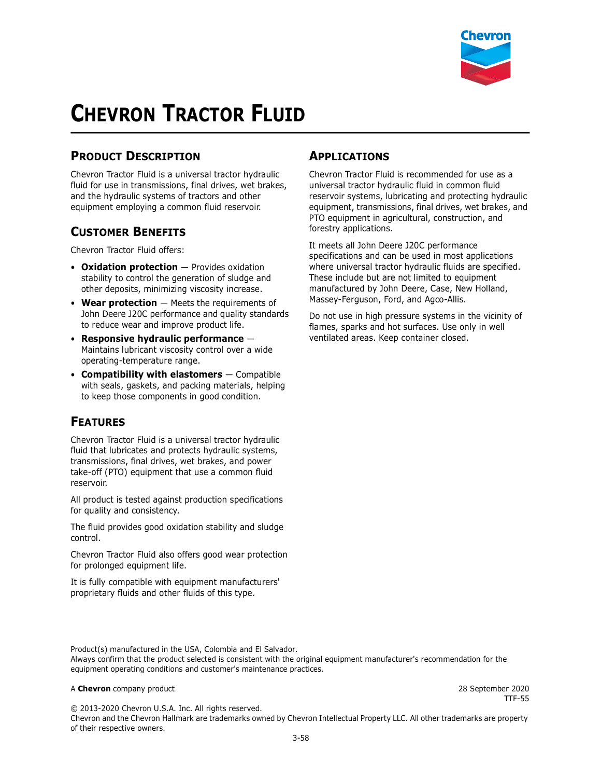

# **CHEVRON TRACTOR FLUID**

### **PRODUCT DESCRIPTION**

Chevron Tractor Fluid is a universal tractor hydraulic fluid for use in transmissions, final drives, wet brakes, and the hydraulic systems of tractors and other equipment employing a common fluid reservoir.

#### **CUSTOMER BENEFITS**

Chevron Tractor Fluid offers:

- **Oxidation protection** Provides oxidation stability to control the generation of sludge and other deposits, minimizing viscosity increase.
- **Wear protection** Meets the requirements of John Deere J20C performance and quality standards to reduce wear and improve product life.
- **Responsive hydraulic performance**  Maintains lubricant viscosity control over a wide operating-temperature range.
- **Compatibility with elastomers** Compatible with seals, gaskets, and packing materials, helping to keep those components in good condition.

#### **FEATURES**

Chevron Tractor Fluid is a universal tractor hydraulic fluid that lubricates and protects hydraulic systems, transmissions, final drives, wet brakes, and power take-off (PTO) equipment that use a common fluid reservoir.

All product is tested against production specifications for quality and consistency.

The fluid provides good oxidation stability and sludge control.

Chevron Tractor Fluid also offers good wear protection for prolonged equipment life.

It is fully compatible with equipment manufacturers' proprietary fluids and other fluids of this type.

#### **APPLICATIONS**

Chevron Tractor Fluid is recommended for use as a universal tractor hydraulic fluid in common fluid reservoir systems, lubricating and protecting hydraulic equipment, transmissions, final drives, wet brakes, and PTO equipment in agricultural, construction, and forestry applications.

It meets all John Deere J20C performance specifications and can be used in most applications where universal tractor hydraulic fluids are specified. These include but are not limited to equipment manufactured by John Deere, Case, New Holland, Massey-Ferguson, Ford, and Agco-Allis.

Do not use in high pressure systems in the vicinity of flames, sparks and hot surfaces. Use only in well ventilated areas. Keep container closed.

Product(s) manufactured in the USA, Colombia and El Salvador. Always confirm that the product selected is consistent with the original equipment manufacturer's recommendation for the equipment operating conditions and customer's maintenance practices.

#### A **Chevron** company product 28 September 2020

TTF-55

© 2013-2020 Chevron U.S.A. Inc. All rights reserved. Chevron and the Chevron Hallmark are trademarks owned by Chevron Intellectual Property LLC. All other trademarks are property of their respective owners.